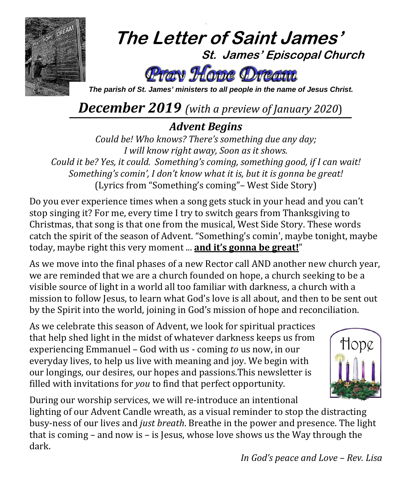

**The Letter of Saint James' St. James' Episcopal Church**

 *The parish of St. James' ministers to all people in the name of Jesus Christ.*

# *December 2019 (with a preview of January 2020*)

*Advent Begins*

*Could be! Who knows? There's something due any day; I will know right away, Soon as it shows. Could it be? Yes, it could. Something's coming, something good, if I can wait! Something's comin', I don't know what it is, but it is gonna be great!* (Lyrics from "Something's coming"– West Side Story)

Do you ever experience times when a song gets stuck in your head and you can't stop singing it? For me, every time I try to switch gears from Thanksgiving to Christmas, that song is that one from the musical, West Side Story. These words catch the spirit of the season of Advent. "Something's comin', maybe tonight, maybe today, maybe right this very moment ... **and it's gonna be great!**"

As we move into the final phases of a new Rector call AND another new church year, we are reminded that we are a church founded on hope, a church seeking to be a visible source of light in a world all too familiar with darkness, a church with a mission to follow Jesus, to learn what God's love is all about, and then to be sent out by the Spirit into the world, joining in God's mission of hope and reconciliation.

As we celebrate this season of Advent, we look for spiritual practices that help shed light in the midst of whatever darkness keeps us from experiencing Emmanuel – God with us - coming *to* us now, in our everyday lives, to help us live with meaning and joy. We begin with our longings, our desires, our hopes and passions.This newsletter is filled with invitations for *you* to find that perfect opportunity.



During our worship services, we will re-introduce an intentional lighting of our Advent Candle wreath, as a visual reminder to stop the distracting busy-ness of our lives and *just breath*. Breathe in the power and presence. The light that is coming – and now is – is Jesus, whose love shows us the Way through the dark.

*In God's peace and Love – Rev. Lisa*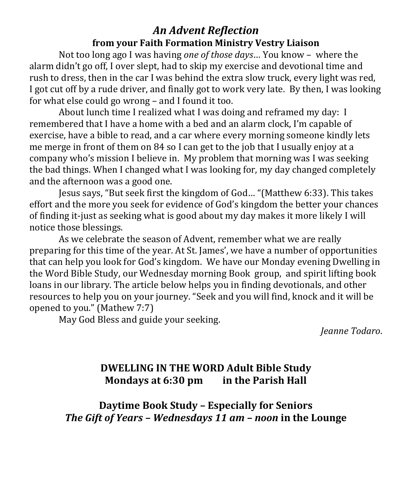### *An Advent Reflection*  **from your Faith Formation Ministry Vestry Liaison**

Not too long ago I was having *one of those days*… You know – where the alarm didn't go off, I over slept, had to skip my exercise and devotional time and rush to dress, then in the car I was behind the extra slow truck, every light was red, I got cut off by a rude driver, and finally got to work very late. By then, I was looking for what else could go wrong – and I found it too.

About lunch time I realized what I was doing and reframed my day: I remembered that I have a home with a bed and an alarm clock, I'm capable of exercise, have a bible to read, and a car where every morning someone kindly lets me merge in front of them on 84 so I can get to the job that I usually enjoy at a company who's mission I believe in. My problem that morning was I was seeking the bad things. When I changed what I was looking for, my day changed completely and the afternoon was a good one.

Jesus says, "But seek first the kingdom of God… "(Matthew 6:33). This takes effort and the more you seek for evidence of God's kingdom the better your chances of finding it-just as seeking what is good about my day makes it more likely I will notice those blessings.

As we celebrate the season of Advent, remember what we are really preparing for this time of the year. At St. James', we have a number of opportunities that can help you look for God's kingdom. We have our Monday evening Dwelling in the Word Bible Study, our Wednesday morning Book group, and spirit lifting book loans in our library. The article below helps you in finding devotionals, and other resources to help you on your journey. "Seek and you will find, knock and it will be opened to you." (Mathew 7:7)

May God Bless and guide your seeking.

*Jeanne Todaro*.

#### **DWELLING IN THE WORD Adult Bible Study Mondays at 6:30 pm in the Parish Hall**

**Daytime Book Study – Especially for Seniors** *The Gift of Years – Wednesdays 11 am – noon* **in the Lounge**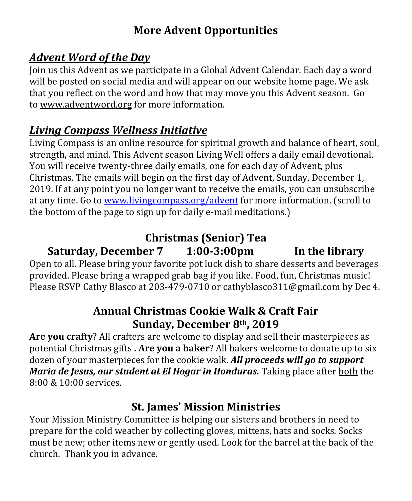## **More Advent Opportunities**

## *Advent Word of the Day*

Join us this Advent as we participate in a Global Advent Calendar. Each day a word will be posted on social media and will appear on our website home page. We ask that you reflect on the word and how that may move you this Advent season. Go to [www.adventword.org](http://www.adventword.org/) for more information.

## *Living Compass Wellness Initiative*

Living Compass is an online resource for spiritual growth and balance of heart, soul, strength, and mind. This Advent season Living Well offers a daily email devotional. You will receive twenty-three daily emails, one for each day of Advent, plus Christmas. The emails will begin on the first day of Advent, Sunday, December 1, 2019. If at any point you no longer want to receive the emails, you can unsubscribe at any time. Go t[o www.livingcompass.org/advent](http://www.livingcompass.org/advent) for more information. (scroll to the bottom of the page to sign up for daily e-mail meditations.)

## **Christmas (Senior) Tea**

## **Saturday, December 7 1:00-3:00pm In the library**

Open to all. Please bring your favorite pot luck dish to share desserts and beverages provided. Please bring a wrapped grab bag if you like. Food, fun, Christmas music! Please RSVP Cathy Blasco at 203-479-0710 or cathyblasco311@gmail.com by Dec 4.

### **Annual Christmas Cookie Walk & Craft Fair Sunday, December 8th, 2019**

**Are you crafty**? All crafters are welcome to display and sell their masterpieces as potential Christmas gifts **. Are you a baker**? All bakers welcome to donate up to six dozen of your masterpieces for the cookie walk. *All proceeds will go to support Maria de Jesus, our student at El Hogar in Honduras. Taking place after both the* 8:00 & 10:00 services.

## **St. James' Mission Ministries**

Your Mission Ministry Committee is helping our sisters and brothers in need to prepare for the cold weather by collecting gloves, mittens, hats and socks. Socks must be new; other items new or gently used. Look for the barrel at the back of the church. Thank you in advance.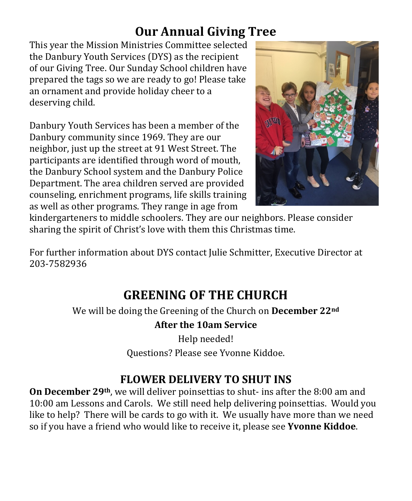## **Our Annual Giving Tree**

This year the Mission Ministries Committee selected the Danbury Youth Services (DYS) as the recipient of our Giving Tree. Our Sunday School children have prepared the tags so we are ready to go! Please take an ornament and provide holiday cheer to a deserving child.

Danbury Youth Services has been a member of the Danbury community since 1969. They are our neighbor, just up the street at 91 West Street. The participants are identified through word of mouth, the Danbury School system and the Danbury Police Department. The area children served are provided counseling, enrichment programs, life skills training as well as other programs. They range in age from



kindergarteners to middle schoolers. They are our neighbors. Please consider sharing the spirit of Christ's love with them this Christmas time.

For further information about DYS contact Julie Schmitter, Executive Director at 203-7582936

## **GREENING OF THE CHURCH**

We will be doing the Greening of the Church on **December 22nd**

### **After the 10am Service**

Help needed! Questions? Please see Yvonne Kiddoe.

## **FLOWER DELIVERY TO SHUT INS**

**On December 29th**, we will deliver poinsettias to shut- ins after the 8:00 am and 10:00 am Lessons and Carols. We still need help delivering poinsettias. Would you like to help? There will be cards to go with it. We usually have more than we need so if you have a friend who would like to receive it, please see **Yvonne Kiddoe**.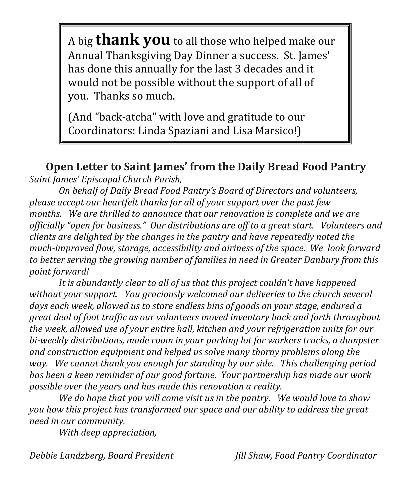A big **thank you** to all those who helped make our Annual Thanksgiving Day Dinner a success. St. James' has done this annually for the last 3 decades and it would not be possible without the support of all of you. Thanks so much.

(And "back-atcha" with love and gratitude to our Coordinators: Linda Spaziani and Lisa Marsico!)

**Open Letter to Saint James' from the Daily Bread Food Pantry** *Saint James' Episcopal Church Parish,*

*On behalf of Daily Bread Food Pantry's Board of Directors and volunteers, please accept our heartfelt thanks for all of your support over the past few months. We are thrilled to announce that our renovation is complete and we are officially "open for business." Our distributions are off to a great start. Volunteers and clients are delighted by the changes in the pantry and have repeatedly noted the much-improved flow, storage, accessibility and airiness of the space. We look forward to better serving the growing number of families in need in Greater Danbury from this point forward!* 

*It is abundantly clear to all of us that this project couldn't have happened without your support. You graciously welcomed our deliveries to the church several days each week, allowed us to store endless bins of goods on your stage, endured a great deal of foot traffic as our volunteers moved inventory back and forth throughout the week, allowed use of your entire hall, kitchen and your refrigeration units for our bi-weekly distributions, made room in your parking lot for workers trucks, a dumpster and construction equipment and helped us solve many thorny problems along the way. We cannot thank you enough for standing by our side. This challenging period has been a keen reminder of our good fortune. Your partnership has made our work possible over the years and has made this renovation a reality.* 

*We do hope that you will come visit us in the pantry. We would love to show you how this project has transformed our space and our ability to address the great need in our community.*

*With deep appreciation,*

*Debbie Landzberg, Board President Jill Shaw, Food Pantry Coordinator*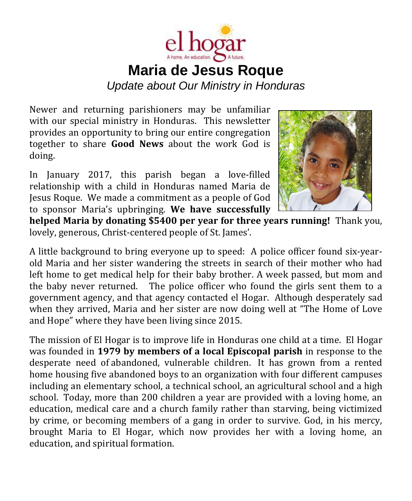

## **Maria de Jesus Roque** *Update about Our Ministry in Honduras*

Newer and returning parishioners may be unfamiliar with our special ministry in Honduras. This newsletter provides an opportunity to bring our entire congregation together to share **Good News** about the work God is doing.

In January 2017, this parish began a love-filled relationship with a child in Honduras named Maria de Jesus Roque. We made a commitment as a people of God to sponsor Maria's upbringing. **We have successfully** 



**helped Maria by donating \$5400 per year for three years running!** Thank you, lovely, generous, Christ-centered people of St. James'.

A little background to bring everyone up to speed: A police officer found six-yearold Maria and her sister wandering the streets in search of their mother who had left home to get medical help for their baby brother. A week passed, but mom and the baby never returned. The police officer who found the girls sent them to a government agency, and that agency contacted el Hogar. Although desperately sad when they arrived, Maria and her sister are now doing well at "The Home of Love and Hope" where they have been living since 2015.

The mission of El Hogar is to improve life in Honduras one child at a time. El Hogar was founded in **1979 by members of a local Episcopal parish** in response to the desperate need of abandoned, vulnerable children. It has grown from a rented home housing five abandoned boys to an organization with four different campuses including an elementary school, a technical school, an agricultural school and a high school. Today, more than 200 children a year are provided with a loving home, an education, medical care and a church family rather than starving, being victimized by crime, or becoming members of a gang in order to survive. God, in his mercy, brought Maria to El Hogar, which now provides her with a loving home, an education, and spiritual formation.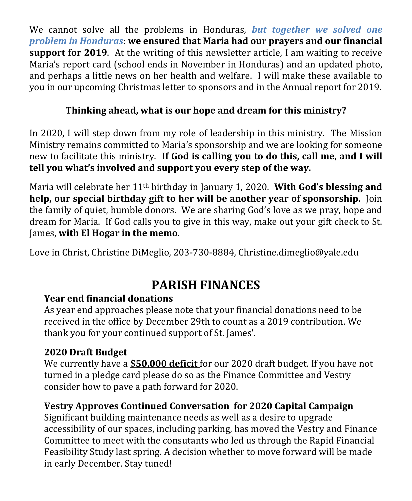We cannot solve all the problems in Honduras, *but together we solved one problem in Honduras*: **we ensured that Maria had our prayers and our financial support for 2019**. At the writing of this newsletter article, I am waiting to receive Maria's report card (school ends in November in Honduras) and an updated photo, and perhaps a little news on her health and welfare. I will make these available to you in our upcoming Christmas letter to sponsors and in the Annual report for 2019.

#### **Thinking ahead, what is our hope and dream for this ministry?**

In 2020, I will step down from my role of leadership in this ministry. The Mission Ministry remains committed to Maria's sponsorship and we are looking for someone new to facilitate this ministry. **If God is calling you to do this, call me, and I will tell you what's involved and support you every step of the way.**

Maria will celebrate her 11th birthday in January 1, 2020. **With God's blessing and help, our special birthday gift to her will be another year of sponsorship.** Join the family of quiet, humble donors. We are sharing God's love as we pray, hope and dream for Maria. If God calls you to give in this way, make out your gift check to St. James, **with El Hogar in the memo**.

Love in Christ, Christine DiMeglio, 203-730-8884, Christine.dimeglio@yale.edu

## **PARISH FINANCES**

#### **Year end financial donations**

As year end approaches please note that your financial donations need to be received in the office by December 29th to count as a 2019 contribution. We thank you for your continued support of St. James'.

#### **2020 Draft Budget**

We currently have a **\$50,000 deficit** for our 2020 draft budget. If you have not turned in a pledge card please do so as the Finance Committee and Vestry consider how to pave a path forward for 2020.

#### **Vestry Approves Continued Conversation for 2020 Capital Campaign**

Significant building maintenance needs as well as a desire to upgrade accessibility of our spaces, including parking, has moved the Vestry and Finance Committee to meet with the consutants who led us through the Rapid Financial Feasibility Study last spring. A decision whether to move forward will be made in early December. Stay tuned!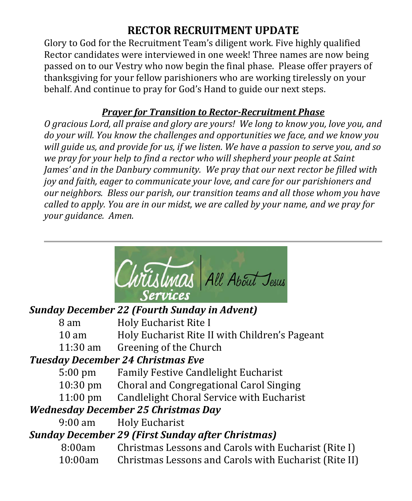## **RECTOR RECRUITMENT UPDATE**

Glory to God for the Recruitment Team's diligent work. Five highly qualified Rector candidates were interviewed in one week! Three names are now being passed on to our Vestry who now begin the final phase. Please offer prayers of thanksgiving for your fellow parishioners who are working tirelessly on your behalf. And continue to pray for God's Hand to guide our next steps.

#### *Prayer for Transition to Rector-Recruitment Phase*

*O gracious Lord, all praise and glory are yours! We long to know you, love you, and do your will. You know the challenges and opportunities we face, and we know you will guide us, and provide for us, if we listen. We have a passion to serve you, and so we pray for your help to find a rector who will shepherd your people at Saint James' and in the Danbury community. We pray that our next rector be filled with joy and faith, eager to communicate your love, and care for our parishioners and our neighbors. Bless our parish, our transition teams and all those whom you have called to apply. You are in our midst, we are called by your name, and we pray for your guidance. Amen.*



#### *Sunday December 22 (Fourth Sunday in Advent)*

| 8 am                                                     | Holy Eucharist Rite I                                 |
|----------------------------------------------------------|-------------------------------------------------------|
| $10 \text{ am}$                                          | Holy Eucharist Rite II with Children's Pageant        |
| 11:30 am                                                 | Greening of the Church                                |
|                                                          | <b>Tuesday December 24 Christmas Eve</b>              |
| $5:00 \text{ pm}$                                        | <b>Family Festive Candlelight Eucharist</b>           |
| $10:30 \text{ pm}$                                       | Choral and Congregational Carol Singing               |
|                                                          | 11:00 pm Candlelight Choral Service with Eucharist    |
|                                                          | <b>Wednesday December 25 Christmas Day</b>            |
| 9:00 am                                                  | <b>Holy Eucharist</b>                                 |
| <b>Sunday December 29 (First Sunday after Christmas)</b> |                                                       |
| 8:00am                                                   | Christmas Lessons and Carols with Eucharist (Rite I)  |
| 10:00am                                                  | Christmas Lessons and Carols with Eucharist (Rite II) |
|                                                          |                                                       |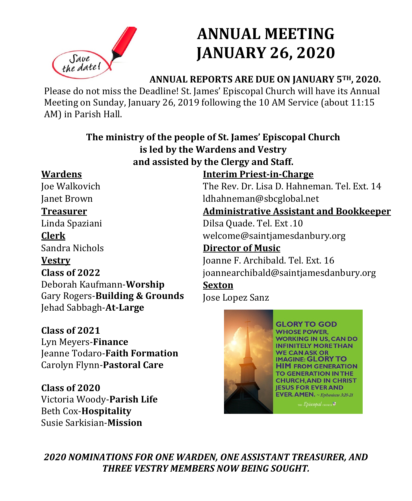

# **ANNUAL MEETING JANUARY 26, 2020**

#### **ANNUAL REPORTS ARE DUE ON JANUARY 5TH, 2020.**

Please do not miss the Deadline! St. James' Episcopal Church will have its Annual Meeting on Sunday, January 26, 2019 following the 10 AM Service (about 11:15 AM) in Parish Hall.

> **The ministry of the people of St. James' Episcopal Church is led by the Wardens and Vestry and assisted by the Clergy and Staff.**

**Class of 2022** Deborah Kaufmann-**Worship** Gary Rogers-**Building & Grounds** Jehad Sabbagh-**At-Large**

**Class of 2021**  Lyn Meyers-**Finance** Jeanne Todaro-**Faith Formation** Carolyn Flynn-**Pastoral Care**

**Class of 2020**  Victoria Woody-**Parish Life** Beth Cox-**Hospitality** Susie Sarkisian-**Mission**

### **Wardens Interim Priest-in-Charge**

Joe Walkovich The Rev. Dr. Lisa D. Hahneman. Tel. Ext. 14 Janet Brown ldhahneman@sbcglobal.net<br> **Treasurer** Manuschille Administrative Assistant a

#### **Treasurer Administrative Assistant and Bookkeeper**

Linda Spaziani Dilsa Quade. Tel. Ext .10 **Clerk** welcome@saintjamesdanbury.org

#### **Director of Music**

**Vestry** Joanne F. Archibald. Tel. Ext. 16 [joannearchibald@saintjamesdanbury.org](mailto:joannearchibald@saintjamesdanbury.org)

#### **Sexton**

Jose Lopez Sanz



*2020 NOMINATIONS FOR ONE WARDEN, ONE ASSISTANT TREASURER, AND THREE VESTRY MEMBERS NOW BEING SOUGHT.*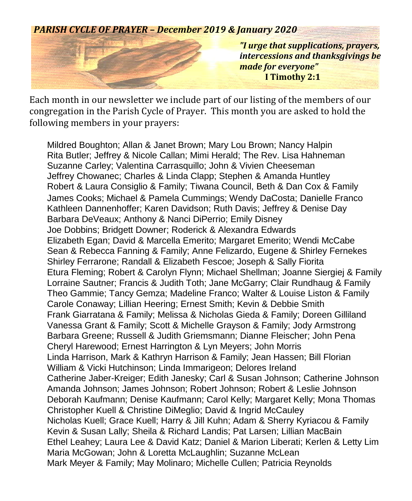*PARISH CYCLE OF PRAYER – December 2019 & January 2020*



*"I urge that supplications, prayers, intercessions and thanksgivings be made for everyone"*  **I Timothy 2:1**

Each month in our newsletter we include part of our listing of the members of our congregation in the Parish Cycle of Prayer. This month you are asked to hold the following members in your prayers:

Mildred Boughton; Allan & Janet Brown; Mary Lou Brown; Nancy Halpin Rita Butler; Jeffrey & Nicole Callan; Mimi Herald; The Rev. Lisa Hahneman Suzanne Carley; Valentina Carrasquillo; John & Vivien Cheeseman Jeffrey Chowanec; Charles & Linda Clapp; Stephen & Amanda Huntley Robert & Laura Consiglio & Family; Tiwana Council, Beth & Dan Cox & Family James Cooks; Michael & Pamela Cummings; Wendy DaCosta; Danielle Franco Kathleen Dannenhoffer; Karen Davidson; Ruth Davis; Jeffrey & Denise Day Barbara DeVeaux; Anthony & Nanci DiPerrio; Emily Disney Joe Dobbins; Bridgett Downer; Roderick & Alexandra Edwards Elizabeth Egan; David & Marcella Emerito; Margaret Emerito; Wendi McCabe Sean & Rebecca Fanning & Family; Anne Felizardo, Eugene & Shirley Fernekes Shirley Ferrarone; Randall & Elizabeth Fescoe; Joseph & Sally Fiorita Etura Fleming; Robert & Carolyn Flynn; Michael Shellman; Joanne Siergiej & Family Lorraine Sautner; Francis & Judith Toth; Jane McGarry; Clair Rundhaug & Family Theo Gammie; Tancy Gemza; Madeline Franco; Walter & Louise Liston & Family Carole Conaway; Lillian Heering; Ernest Smith; Kevin & Debbie Smith Frank Giarratana & Family; Melissa & Nicholas Gieda & Family; Doreen Gilliland Vanessa Grant & Family; Scott & Michelle Grayson & Family; Jody Armstrong Barbara Greene; Russell & Judith Griemsmann; Dianne Fleischer; John Pena Cheryl Harewood; Ernest Harrington & Lyn Meyers; John Morris Linda Harrison, Mark & Kathryn Harrison & Family; Jean Hassen; Bill Florian William & Vicki Hutchinson; Linda Immarigeon; Delores Ireland Catherine Jaber-Kreiger; Edith Janesky; Carl & Susan Johnson; Catherine Johnson Amanda Johnson; James Johnson; Robert Johnson; Robert & Leslie Johnson Deborah Kaufmann; Denise Kaufmann; Carol Kelly; Margaret Kelly; Mona Thomas Christopher Kuell & Christine DiMeglio; David & Ingrid McCauley Nicholas Kuell; Grace Kuell; Harry & Jill Kuhn; Adam & Sherry Kyriacou & Family Kevin & Susan Lally; Sheila & Richard Landis; Pat Larsen; Lillian MacBain Ethel Leahey; Laura Lee & David Katz; Daniel & Marion Liberati; Kerlen & Letty Lim Maria McGowan; John & Loretta McLaughlin; Suzanne McLean Mark Meyer & Family; May Molinaro; Michelle Cullen; Patricia Reynolds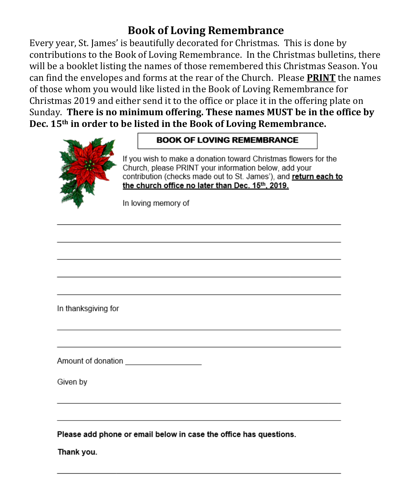### **Book of Loving Remembrance**

Every year, St. James' is beautifully decorated for Christmas. This is done by contributions to the Book of Loving Remembrance. In the Christmas bulletins, there will be a booklet listing the names of those remembered this Christmas Season. You can find the envelopes and forms at the rear of the Church. Please **PRINT** the names of those whom you would like listed in the Book of Loving Remembrance for Christmas 2019 and either send it to the office or place it in the offering plate on Sunday. There is no minimum offering. These names MUST be in the office by Dec. 15<sup>th</sup> in order to be listed in the Book of Loving Remembrance.



#### **BOOK OF LOVING REMEMBRANCE**

If you wish to make a donation toward Christmas flowers for the Church, please PRINT your information below, add your contribution (checks made out to St. James'), and return each to the church office no later than Dec. 15th, 2019.

In loving memory of

In thanksgiving for

Amount of donation **Amount** of donation

Given by

Please add phone or email below in case the office has questions.

Thank you.